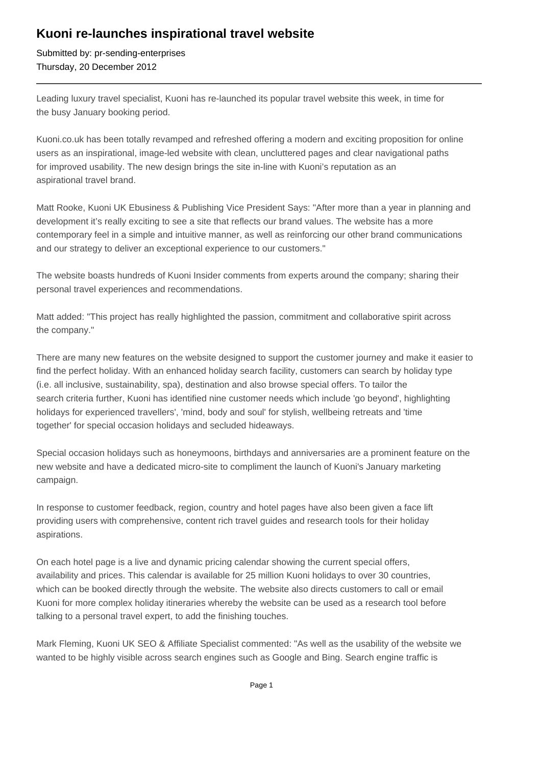## **Kuoni re-launches inspirational travel website**

Submitted by: pr-sending-enterprises Thursday, 20 December 2012

Leading luxury travel specialist, Kuoni has re-launched its popular travel website this week, in time for the busy January booking period.

Kuoni.co.uk has been totally revamped and refreshed offering a modern and exciting proposition for online users as an inspirational, image-led website with clean, uncluttered pages and clear navigational paths for improved usability. The new design brings the site in-line with Kuoni's reputation as an aspirational travel brand.

Matt Rooke, Kuoni UK Ebusiness & Publishing Vice President Says: "After more than a year in planning and development it's really exciting to see a site that reflects our brand values. The website has a more contemporary feel in a simple and intuitive manner, as well as reinforcing our other brand communications and our strategy to deliver an exceptional experience to our customers."

The website boasts hundreds of Kuoni Insider comments from experts around the company; sharing their personal travel experiences and recommendations.

Matt added: "This project has really highlighted the passion, commitment and collaborative spirit across the company."

There are many new features on the website designed to support the customer journey and make it easier to find the perfect holiday. With an enhanced holiday search facility, customers can search by holiday type (i.e. all inclusive, sustainability, spa), destination and also browse special offers. To tailor the search criteria further, Kuoni has identified nine customer needs which include 'go beyond', highlighting holidays for experienced travellers', 'mind, body and soul' for stylish, wellbeing retreats and 'time together' for special occasion holidays and secluded hideaways.

Special occasion holidays such as honeymoons, birthdays and anniversaries are a prominent feature on the new website and have a dedicated micro-site to compliment the launch of Kuoni's January marketing campaign.

In response to customer feedback, region, country and hotel pages have also been given a face lift providing users with comprehensive, content rich travel guides and research tools for their holiday aspirations.

On each hotel page is a live and dynamic pricing calendar showing the current special offers, availability and prices. This calendar is available for 25 million Kuoni holidays to over 30 countries, which can be booked directly through the website. The website also directs customers to call or email Kuoni for more complex holiday itineraries whereby the website can be used as a research tool before talking to a personal travel expert, to add the finishing touches.

Mark Fleming, Kuoni UK SEO & Affiliate Specialist commented: "As well as the usability of the website we wanted to be highly visible across search engines such as Google and Bing. Search engine traffic is